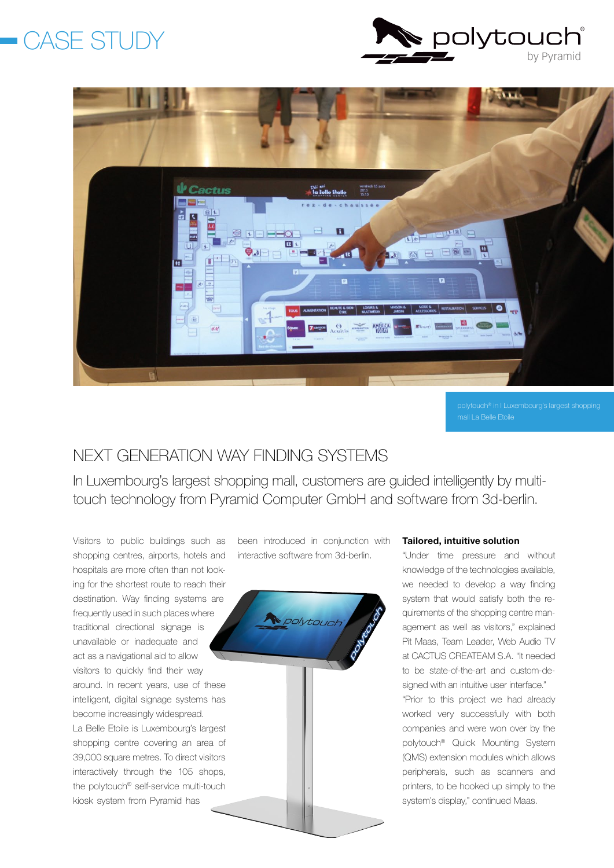# *CASE STUDY*





mall La Belle Etoile

### nEXT GEnERATIon WAY FIndInG SYSTEMS

In Luxembourg's largest shopping mall, customers are guided intelligently by multitouch technology from Pyramid Computer GmbH and software from 3d-berlin.

Visitors to public buildings such as shopping centres, airports, hotels and hospitals are more often than not looking for the shortest route to reach their destination. Way finding systems are frequently used in such places where traditional directional signage is unavailable or inadequate and act as a navigational aid to allow visitors to quickly find their way around. In recent years, use of these intelligent, digital signage systems has become increasingly widespread. La Belle Etoile is Luxembourg's largest shopping centre covering an area of 39,000 square metres. To direct visitors interactively through the 105 shops, the polytouch® self-service multi-touch

kiosk system from Pyramid has

been introduced in conjunction with interactive software from 3d-berlin.



#### Tailored, intuitive solution

"Under time pressure and without knowledge of the technologies available, we needed to develop a way finding system that would satisfy both the requirements of the shopping centre management as well as visitors," explained Pit Maas, Team Leader, Web Audio TV at CACTUS CREATEAM S.A. "It needed to be state-of-the-art and custom-designed with an intuitive user interface." "Prior to this project we had already worked very successfully with both companies and were won over by the polytouch® Quick Mounting System (QMS) extension modules which allows peripherals, such as scanners and printers, to be hooked up simply to the system's display," continued Maas.